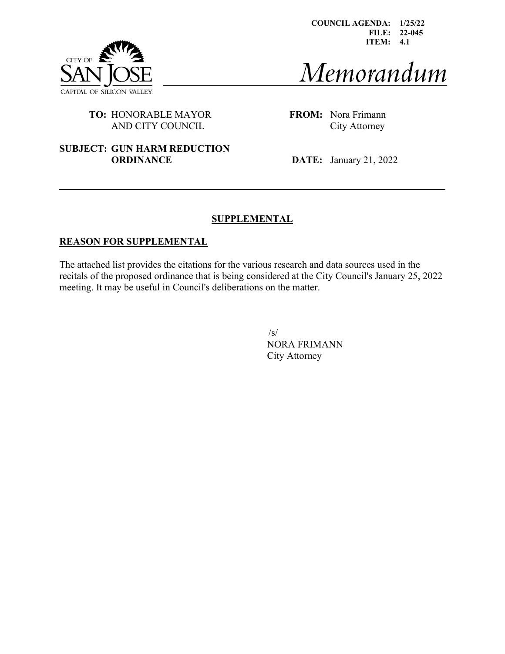

COUNCIL AGENDA: 1/25/22 FILE: 22-045 ITEM: 4.1

# Memorandum

## TO: HONORABLE MAYOR FROM: Nora Frimann AND CITY COUNCIL City Attorney

#### SUBJECT: GUN HARM REDUCTION **ORDINANCE** DATE: January 21, 2022

## **SUPPLEMENTAL**

#### REASON FOR SUPPLEMENTAL

The attached list provides the citations for the various research and data sources used in the recitals of the proposed ordinance that is being considered at the City Council's January 25, 2022 meeting. It may be useful in Council's deliberations on the matter.

> $\sqrt{s}$ NORA FRIMANN City Attorney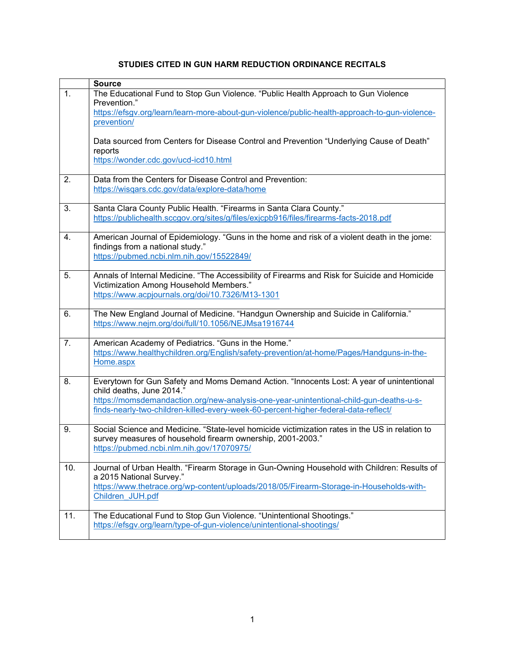# STUDIES CITED IN GUN HARM REDUCTION ORDINANCE RECITALS

|     | <b>Source</b>                                                                                                                                                                                                                          |
|-----|----------------------------------------------------------------------------------------------------------------------------------------------------------------------------------------------------------------------------------------|
| 1.  | The Educational Fund to Stop Gun Violence. "Public Health Approach to Gun Violence<br>Prevention."                                                                                                                                     |
|     | https://efsgv.org/learn/learn-more-about-gun-violence/public-health-approach-to-gun-violence-<br>prevention/                                                                                                                           |
|     | Data sourced from Centers for Disease Control and Prevention "Underlying Cause of Death"                                                                                                                                               |
|     | reports<br>https://wonder.cdc.gov/ucd-icd10.html                                                                                                                                                                                       |
| 2.  | Data from the Centers for Disease Control and Prevention:<br>https://wisqars.cdc.gov/data/explore-data/home                                                                                                                            |
| 3.  | Santa Clara County Public Health. "Firearms in Santa Clara County."<br>https://publichealth.sccgov.org/sites/g/files/exjcpb916/files/firearms-facts-2018.pdf                                                                           |
| 4.  | American Journal of Epidemiology. "Guns in the home and risk of a violent death in the jome:<br>findings from a national study."<br>https://pubmed.ncbi.nlm.nih.gov/15522849/                                                          |
|     |                                                                                                                                                                                                                                        |
| 5.  | Annals of Internal Medicine. "The Accessibility of Firearms and Risk for Suicide and Homicide<br>Victimization Among Household Members."                                                                                               |
|     | https://www.acpjournals.org/doi/10.7326/M13-1301                                                                                                                                                                                       |
| 6.  | The New England Journal of Medicine. "Handgun Ownership and Suicide in California."<br>https://www.nejm.org/doi/full/10.1056/NEJMsa1916744                                                                                             |
| 7.  | American Academy of Pediatrics. "Guns in the Home."<br>https://www.healthychildren.org/English/safety-prevention/at-home/Pages/Handguns-in-the-                                                                                        |
|     | Home.aspx                                                                                                                                                                                                                              |
| 8.  | Everytown for Gun Safety and Moms Demand Action. "Innocents Lost: A year of unintentional<br>child deaths, June 2014."                                                                                                                 |
|     | https://momsdemandaction.org/new-analysis-one-year-unintentional-child-gun-deaths-u-s-<br>finds-nearly-two-children-killed-every-week-60-percent-higher-federal-data-reflect/                                                          |
| 9.  | Social Science and Medicine. "State-level homicide victimization rates in the US in relation to<br>survey measures of household firearm ownership, 2001-2003."<br>https://pubmed.ncbi.nlm.nih.gov/17070975/                            |
| 10. | Journal of Urban Health. "Firearm Storage in Gun-Owning Household with Children: Results of<br>a 2015 National Survey."<br>https://www.thetrace.org/wp-content/uploads/2018/05/Firearm-Storage-in-Households-with-<br>Children JUH.pdf |
| 11. | The Educational Fund to Stop Gun Violence. "Unintentional Shootings."<br>https://efsgv.org/learn/type-of-gun-violence/unintentional-shootings/                                                                                         |